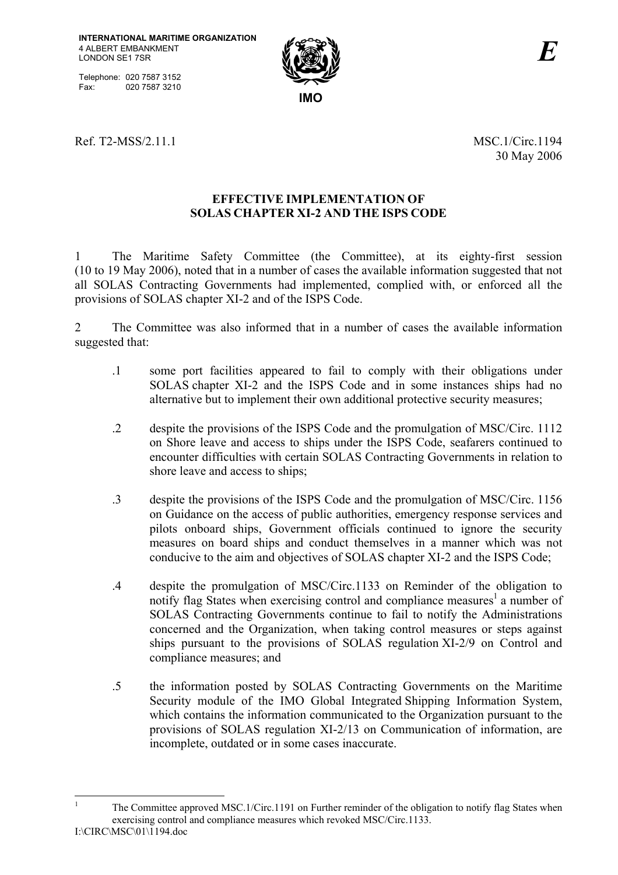Telephone: 020 7587 3152<br>Fax: 020 7587 3210 020 7587 3210



Ref. T2-MSS/2.11.1 MSC.1/Circ.1194

30 May 2006

### **EFFECTIVE IMPLEMENTATION OF SOLAS CHAPTER XI-2 AND THE ISPS CODE**

1 The Maritime Safety Committee (the Committee), at its eighty-first session (10 to 19 May 2006), noted that in a number of cases the available information suggested that not all SOLAS Contracting Governments had implemented, complied with, or enforced all the provisions of SOLAS chapter XI-2 and of the ISPS Code.

2 The Committee was also informed that in a number of cases the available information suggested that:

- .1 some port facilities appeared to fail to comply with their obligations under SOLAS chapter XI-2 and the ISPS Code and in some instances ships had no alternative but to implement their own additional protective security measures;
- .2 despite the provisions of the ISPS Code and the promulgation of MSC/Circ. 1112 on Shore leave and access to ships under the ISPS Code, seafarers continued to encounter difficulties with certain SOLAS Contracting Governments in relation to shore leave and access to ships;
- .3 despite the provisions of the ISPS Code and the promulgation of MSC/Circ. 1156 on Guidance on the access of public authorities, emergency response services and pilots onboard ships, Government officials continued to ignore the security measures on board ships and conduct themselves in a manner which was not conducive to the aim and objectives of SOLAS chapter XI-2 and the ISPS Code;
- .4 despite the promulgation of MSC/Circ.1133 on Reminder of the obligation to notify flag States when exercising control and compliance measures<sup>1</sup> a number of SOLAS Contracting Governments continue to fail to notify the Administrations concerned and the Organization, when taking control measures or steps against ships pursuant to the provisions of SOLAS regulation XI-2/9 on Control and compliance measures; and
- .5 the information posted by SOLAS Contracting Governments on the Maritime Security module of the IMO Global Integrated Shipping Information System, which contains the information communicated to the Organization pursuant to the provisions of SOLAS regulation XI-2/13 on Communication of information, are incomplete, outdated or in some cases inaccurate.

 $\frac{1}{1}$  The Committee approved MSC.1/Circ.1191 on Further reminder of the obligation to notify flag States when exercising control and compliance measures which revoked MSC/Circ.1133.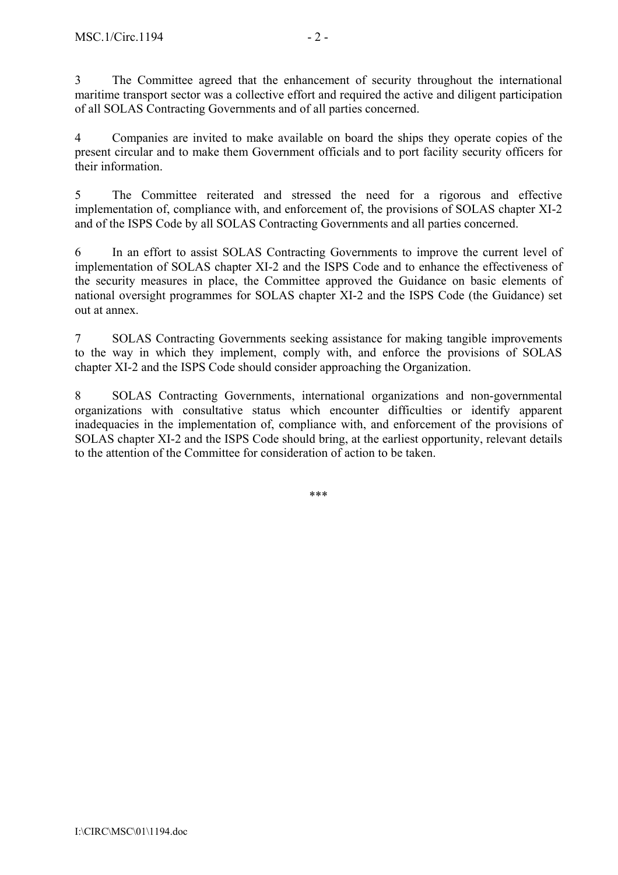3 The Committee agreed that the enhancement of security throughout the international maritime transport sector was a collective effort and required the active and diligent participation of all SOLAS Contracting Governments and of all parties concerned.

4 Companies are invited to make available on board the ships they operate copies of the present circular and to make them Government officials and to port facility security officers for their information.

5 The Committee reiterated and stressed the need for a rigorous and effective implementation of, compliance with, and enforcement of, the provisions of SOLAS chapter XI-2 and of the ISPS Code by all SOLAS Contracting Governments and all parties concerned.

6 In an effort to assist SOLAS Contracting Governments to improve the current level of implementation of SOLAS chapter XI-2 and the ISPS Code and to enhance the effectiveness of the security measures in place, the Committee approved the Guidance on basic elements of national oversight programmes for SOLAS chapter XI-2 and the ISPS Code (the Guidance) set out at annex.

7 SOLAS Contracting Governments seeking assistance for making tangible improvements to the way in which they implement, comply with, and enforce the provisions of SOLAS chapter XI-2 and the ISPS Code should consider approaching the Organization.

8 SOLAS Contracting Governments, international organizations and non-governmental organizations with consultative status which encounter difficulties or identify apparent inadequacies in the implementation of, compliance with, and enforcement of the provisions of SOLAS chapter XI-2 and the ISPS Code should bring, at the earliest opportunity, relevant details to the attention of the Committee for consideration of action to be taken.

\*\*\*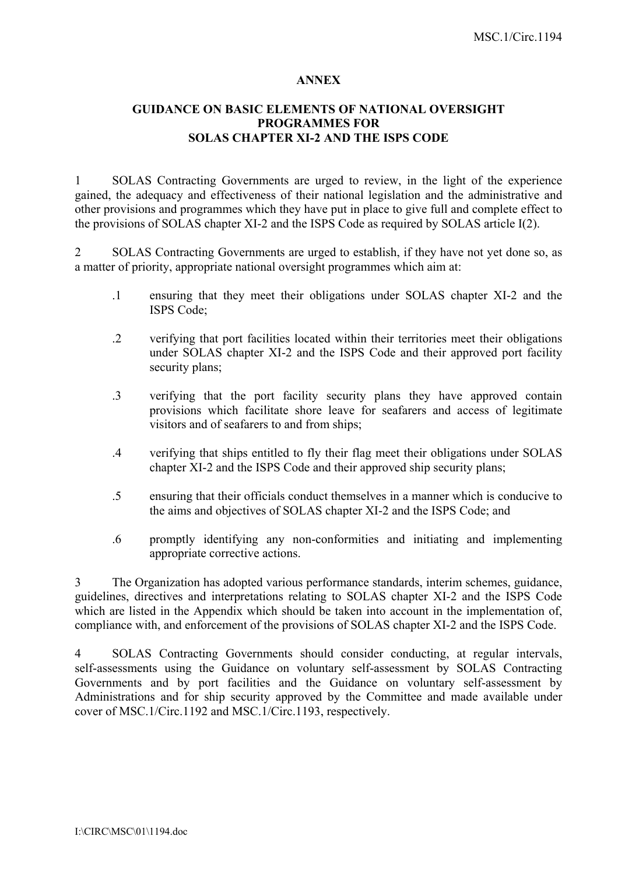#### **ANNEX**

### **GUIDANCE ON BASIC ELEMENTS OF NATIONAL OVERSIGHT PROGRAMMES FOR SOLAS CHAPTER XI-2 AND THE ISPS CODE**

1 SOLAS Contracting Governments are urged to review, in the light of the experience gained, the adequacy and effectiveness of their national legislation and the administrative and other provisions and programmes which they have put in place to give full and complete effect to the provisions of SOLAS chapter XI-2 and the ISPS Code as required by SOLAS article I(2).

2 SOLAS Contracting Governments are urged to establish, if they have not yet done so, as a matter of priority, appropriate national oversight programmes which aim at:

- .1 ensuring that they meet their obligations under SOLAS chapter XI-2 and the ISPS Code;
- .2 verifying that port facilities located within their territories meet their obligations under SOLAS chapter XI-2 and the ISPS Code and their approved port facility security plans;
- .3 verifying that the port facility security plans they have approved contain provisions which facilitate shore leave for seafarers and access of legitimate visitors and of seafarers to and from ships;
- .4 verifying that ships entitled to fly their flag meet their obligations under SOLAS chapter XI-2 and the ISPS Code and their approved ship security plans;
- .5 ensuring that their officials conduct themselves in a manner which is conducive to the aims and objectives of SOLAS chapter XI-2 and the ISPS Code; and
- .6 promptly identifying any non-conformities and initiating and implementing appropriate corrective actions.

3 The Organization has adopted various performance standards, interim schemes, guidance, guidelines, directives and interpretations relating to SOLAS chapter XI-2 and the ISPS Code which are listed in the Appendix which should be taken into account in the implementation of. compliance with, and enforcement of the provisions of SOLAS chapter XI-2 and the ISPS Code.

4 SOLAS Contracting Governments should consider conducting, at regular intervals, self-assessments using the Guidance on voluntary self-assessment by SOLAS Contracting Governments and by port facilities and the Guidance on voluntary self-assessment by Administrations and for ship security approved by the Committee and made available under cover of MSC.1/Circ.1192 and MSC.1/Circ.1193, respectively.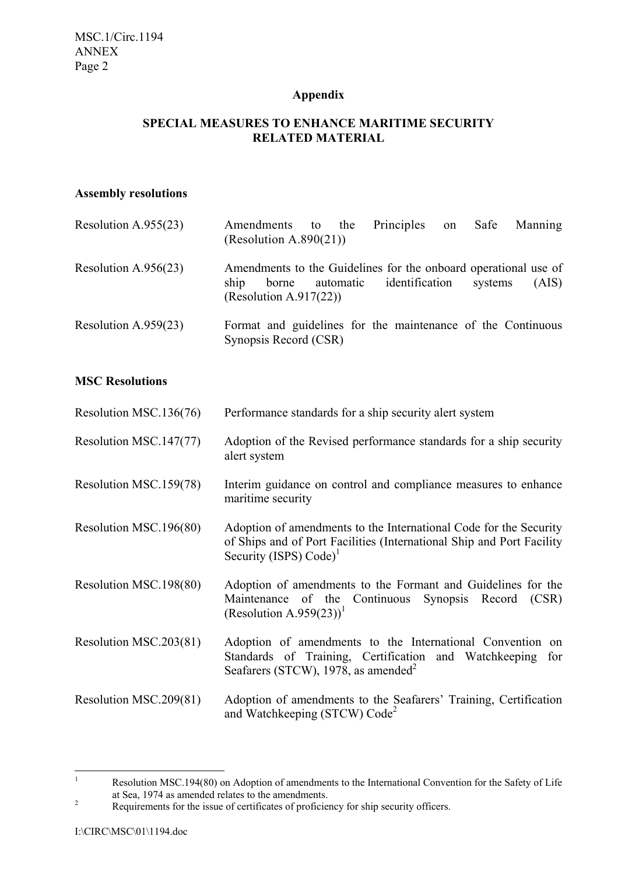## **Appendix**

### **SPECIAL MEASURES TO ENHANCE MARITIME SECURITY RELATED MATERIAL**

### **Assembly resolutions**

| Resolution A.955(23)    | Amendments to the Principles on<br>Manning<br>Safe<br>(Resolution A.890(21))                                                                               |
|-------------------------|------------------------------------------------------------------------------------------------------------------------------------------------------------|
| Resolution A.956 $(23)$ | Amendments to the Guidelines for the onboard operational use of<br>automatic identification<br>(AIS)<br>borne<br>ship<br>systems<br>(Resolution A.917(22)) |
| Resolution A.959 $(23)$ | Format and guidelines for the maintenance of the Continuous<br>Synopsis Record (CSR)                                                                       |

### **MSC Resolutions**

| Resolution MSC.136(76) | Performance standards for a ship security alert system                                                                                                                            |
|------------------------|-----------------------------------------------------------------------------------------------------------------------------------------------------------------------------------|
| Resolution MSC.147(77) | Adoption of the Revised performance standards for a ship security<br>alert system                                                                                                 |
| Resolution MSC.159(78) | Interim guidance on control and compliance measures to enhance<br>maritime security                                                                                               |
| Resolution MSC.196(80) | Adoption of amendments to the International Code for the Security<br>of Ships and of Port Facilities (International Ship and Port Facility<br>Security (ISPS) $Code$ <sup>1</sup> |
| Resolution MSC.198(80) | Adoption of amendments to the Formant and Guidelines for the<br>Maintenance of the Continuous Synopsis Record (CSR)<br>(Resolution A.959(23)) <sup>1</sup>                        |
| Resolution MSC.203(81) | Adoption of amendments to the International Convention on<br>Standards of Training, Certification and Watchkeeping<br>for<br>Seafarers (STCW), 1978, as amended <sup>2</sup>      |
| Resolution MSC.209(81) | Adoption of amendments to the Seafarers' Training, Certification<br>and Watchkeeping (STCW) Code <sup>2</sup>                                                                     |

 $\frac{1}{1}$  Resolution MSC.194(80) on Adoption of amendments to the International Convention for the Safety of Life at Sea, 1974 as amended relates to the amendments.<br>Pequirements for the issue of certificates of proficient

Requirements for the issue of certificates of proficiency for ship security officers.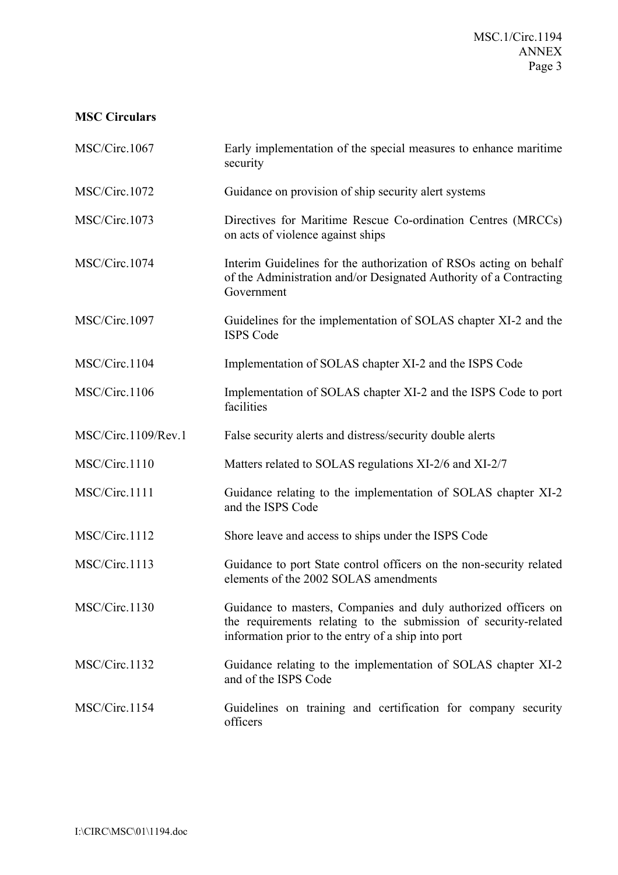### **MSC Circulars**

| MSC/Circ.1067       | Early implementation of the special measures to enhance maritime<br>security                                                                                                            |
|---------------------|-----------------------------------------------------------------------------------------------------------------------------------------------------------------------------------------|
| MSC/Circ.1072       | Guidance on provision of ship security alert systems                                                                                                                                    |
| MSC/Circ.1073       | Directives for Maritime Rescue Co-ordination Centres (MRCCs)<br>on acts of violence against ships                                                                                       |
| MSC/Circ.1074       | Interim Guidelines for the authorization of RSOs acting on behalf<br>of the Administration and/or Designated Authority of a Contracting<br>Government                                   |
| MSC/Circ.1097       | Guidelines for the implementation of SOLAS chapter XI-2 and the<br><b>ISPS Code</b>                                                                                                     |
| MSC/Circ.1104       | Implementation of SOLAS chapter XI-2 and the ISPS Code                                                                                                                                  |
| MSC/Circ.1106       | Implementation of SOLAS chapter XI-2 and the ISPS Code to port<br>facilities                                                                                                            |
| MSC/Circ.1109/Rev.1 | False security alerts and distress/security double alerts                                                                                                                               |
| MSC/Circ.1110       | Matters related to SOLAS regulations XI-2/6 and XI-2/7                                                                                                                                  |
| MSC/Circ.1111       | Guidance relating to the implementation of SOLAS chapter XI-2<br>and the ISPS Code                                                                                                      |
| MSC/Circ.1112       | Shore leave and access to ships under the ISPS Code                                                                                                                                     |
| MSC/Circ.1113       | Guidance to port State control officers on the non-security related<br>elements of the 2002 SOLAS amendments                                                                            |
| MSC/Circ.1130       | Guidance to masters, Companies and duly authorized officers on<br>the requirements relating to the submission of security-related<br>information prior to the entry of a ship into port |
| MSC/Circ.1132       | Guidance relating to the implementation of SOLAS chapter XI-2<br>and of the ISPS Code                                                                                                   |
| MSC/Circ.1154       | Guidelines on training and certification for company security<br>officers                                                                                                               |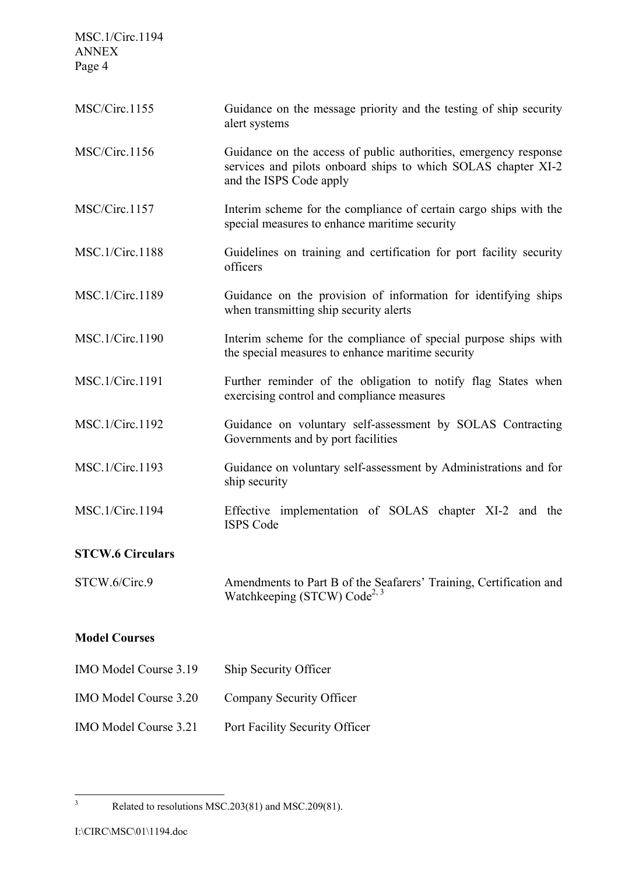| MSC.1/Circ.1194<br><b>ANNEX</b><br>Page 4 |                                                                                                                                                              |
|-------------------------------------------|--------------------------------------------------------------------------------------------------------------------------------------------------------------|
| MSC/Circ.1155                             | Guidance on the message priority and the testing of ship security<br>alert systems                                                                           |
| MSC/Circ.1156                             | Guidance on the access of public authorities, emergency response<br>services and pilots onboard ships to which SOLAS chapter XI-2<br>and the ISPS Code apply |
| MSC/Circ.1157                             | Interim scheme for the compliance of certain cargo ships with the<br>special measures to enhance maritime security                                           |
| MSC.1/Circ.1188                           | Guidelines on training and certification for port facility security<br>officers                                                                              |
| MSC.1/Circ.1189                           | Guidance on the provision of information for identifying ships<br>when transmitting ship security alerts                                                     |
| MSC.1/Circ.1190                           | Interim scheme for the compliance of special purpose ships with<br>the special measures to enhance maritime security                                         |
| MSC.1/Circ.1191                           | Further reminder of the obligation to notify flag States when<br>exercising control and compliance measures                                                  |
| MSC.1/Circ.1192                           | Guidance on voluntary self-assessment by SOLAS Contracting<br>Governments and by port facilities                                                             |
| MSC.1/Circ.1193                           | Guidance on voluntary self-assessment by Administrations and for<br>ship security                                                                            |
| MSC.1/Circ.1194                           | Effective implementation of SOLAS chapter XI-2 and the<br><b>ISPS Code</b>                                                                                   |
| <b>STCW.6 Circulars</b>                   |                                                                                                                                                              |
| STCW.6/Circ.9                             | Amendments to Part B of the Seafarers' Training, Certification and<br>Watchkeeping (STCW) Code <sup>2, 3</sup>                                               |
| <b>Model Courses</b>                      |                                                                                                                                                              |
| IMO Model Course 3.19                     | Ship Security Officer                                                                                                                                        |
| IMO Model Course 3.20                     | Company Security Officer                                                                                                                                     |
| <b>IMO Model Course 3.21</b>              | Port Facility Security Officer                                                                                                                               |

3

Related to resolutions MSC.203(81) and MSC.209(81).